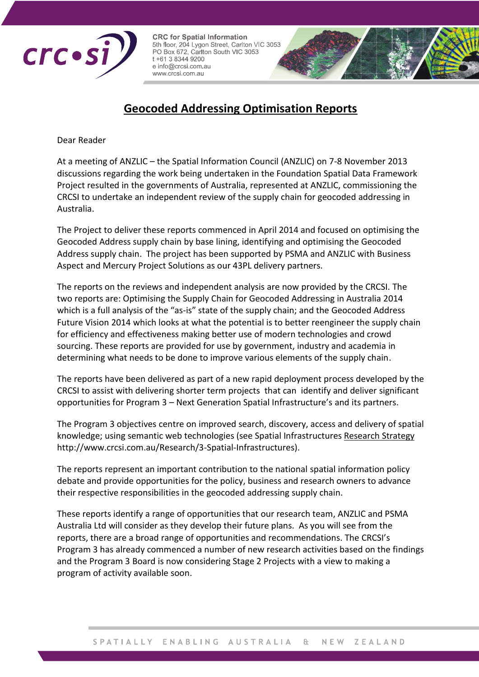

**CRC for Spatial Information** 5th floor, 204 Lygon Street, Carlton VIC 3053 PO Box 672, Carlton South VIC 3053 t +61 3 8344 9200 e info@crcsi.com.au www.crcsi.com.au

## **Geocoded Addressing Optimisation Reports**

Dear Reader

At a meeting of ANZLIC – the Spatial Information Council (ANZLIC) on 7-8 November 2013 discussions regarding the work being undertaken in the Foundation Spatial Data Framework Project resulted in the governments of Australia, represented at ANZLIC, commissioning the CRCSI to undertake an independent review of the supply chain for geocoded addressing in Australia.

The Project to deliver these reports commenced in April 2014 and focused on optimising the Geocoded Address supply chain by base lining, identifying and optimising the Geocoded Address supply chain. The project has been supported by PSMA and ANZLIC with Business Aspect and Mercury Project Solutions as our 43PL delivery partners.

The reports on the reviews and independent analysis are now provided by the CRCSI. The two reports are: Optimising the Supply Chain for Geocoded Addressing in Australia 2014 which is a full analysis of the "as-is" state of the supply chain; and the Geocoded Address Future Vision 2014 which looks at what the potential is to better reengineer the supply chain for efficiency and effectiveness making better use of modern technologies and crowd sourcing. These reports are provided for use by government, industry and academia in determining what needs to be done to improve various elements of the supply chain.

The reports have been delivered as part of a new rapid deployment process developed by the CRCSI to assist with delivering shorter term projects that can identify and deliver significant opportunities for Program 3 – Next Generation Spatial Infrastructure's and its partners.

The Program 3 objectives centre on improved search, discovery, access and delivery of spatial knowledge; using semantic web technologies (see Spatial Infrastructure[s Research Strategy](http://www.crcsi.com.au/Research/3-Spatial-Infrastructures)  http://www.crcsi.com.au/Research/3-Spatial-Infrastructures).

The reports represent an important contribution to the national spatial information policy debate and provide opportunities for the policy, business and research owners to advance their respective responsibilities in the geocoded addressing supply chain.

These reports identify a range of opportunities that our research team, ANZLIC and PSMA Australia Ltd will consider as they develop their future plans. As you will see from the reports, there are a broad range of opportunities and recommendations. The CRCSI's Program 3 has already commenced a number of new research activities based on the findings and the Program 3 Board is now considering Stage 2 Projects with a view to making a program of activity available soon.